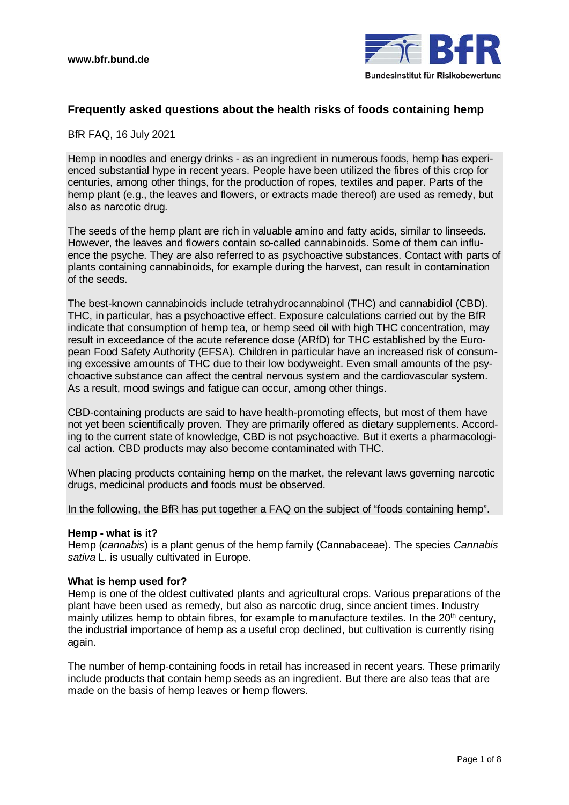

# **Frequently asked questions about the health risks of foods containing hemp**

BfR FAQ, 16 July 2021

Hemp in noodles and energy drinks - as an ingredient in numerous foods, hemp has experienced substantial hype in recent years. People have been utilized the fibres of this crop for centuries, among other things, for the production of ropes, textiles and paper. Parts of the hemp plant (e.g., the leaves and flowers, or extracts made thereof) are used as remedy, but also as narcotic drug.

The seeds of the hemp plant are rich in valuable amino and fatty acids, similar to linseeds. However, the leaves and flowers contain so-called cannabinoids. Some of them can influence the psyche. They are also referred to as psychoactive substances. Contact with parts of plants containing cannabinoids, for example during the harvest, can result in contamination of the seeds.

The best-known cannabinoids include tetrahydrocannabinol (THC) and cannabidiol (CBD). THC, in particular, has a psychoactive effect. Exposure calculations carried out by the BfR indicate that consumption of hemp tea, or hemp seed oil with high THC concentration, may result in exceedance of the acute reference dose (ARfD) for THC established by the European Food Safety Authority (EFSA). Children in particular have an increased risk of consuming excessive amounts of THC due to their low bodyweight. Even small amounts of the psychoactive substance can affect the central nervous system and the cardiovascular system. As a result, mood swings and fatigue can occur, among other things.

CBD-containing products are said to have health-promoting effects, but most of them have not yet been scientifically proven. They are primarily offered as dietary supplements. According to the current state of knowledge, CBD is not psychoactive. But it exerts a pharmacological action. CBD products may also become contaminated with THC.

When placing products containing hemp on the market, the relevant laws governing narcotic drugs, medicinal products and foods must be observed.

In the following, the BfR has put together a FAQ on the subject of "foods containing hemp".

#### **Hemp - what is it?**

Hemp (*cannabis*) is a plant genus of the hemp family (Cannabaceae). The species *Cannabis sativa* L. is usually cultivated in Europe.

#### **What is hemp used for?**

Hemp is one of the oldest cultivated plants and agricultural crops. Various preparations of the plant have been used as remedy, but also as narcotic drug, since ancient times. Industry mainly utilizes hemp to obtain fibres, for example to manufacture textiles. In the  $20<sup>th</sup>$  century, the industrial importance of hemp as a useful crop declined, but cultivation is currently rising again.

The number of hemp-containing foods in retail has increased in recent years. These primarily include products that contain hemp seeds as an ingredient. But there are also teas that are made on the basis of hemp leaves or hemp flowers.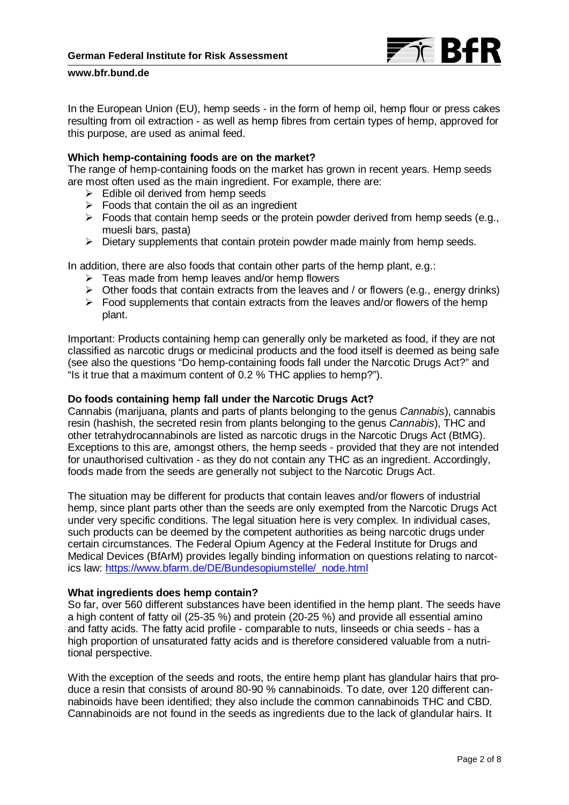

In the European Union (EU), hemp seeds - in the form of hemp oil, hemp flour or press cakes resulting from oil extraction - as well as hemp fibres from certain types of hemp, approved for this purpose, are used as animal feed.

### **Which hemp-containing foods are on the market?**

The range of hemp-containing foods on the market has grown in recent years. Hemp seeds are most often used as the main ingredient. For example, there are:

- $\triangleright$  Edible oil derived from hemp seeds
- $\triangleright$  Foods that contain the oil as an ingredient
- $\triangleright$  Foods that contain hemp seeds or the protein powder derived from hemp seeds (e.g., muesli bars, pasta)
- $\triangleright$  Dietary supplements that contain protein powder made mainly from hemp seeds.

In addition, there are also foods that contain other parts of the hemp plant, e.g.:

- $\triangleright$  Teas made from hemp leaves and/or hemp flowers
- $\triangleright$  Other foods that contain extracts from the leaves and / or flowers (e.g., energy drinks)
- $\triangleright$  Food supplements that contain extracts from the leaves and/or flowers of the hemp plant.

Important: Products containing hemp can generally only be marketed as food, if they are not classified as narcotic drugs or medicinal products and the food itself is deemed as being safe (see also the questions "Do hemp-containing foods fall under the Narcotic Drugs Act?" and "Is it true that a maximum content of 0.2 % THC applies to hemp?").

### **Do foods containing hemp fall under the Narcotic Drugs Act?**

Cannabis (marijuana, plants and parts of plants belonging to the genus *Cannabis*), cannabis resin (hashish, the secreted resin from plants belonging to the genus *Cannabis*), THC and other tetrahydrocannabinols are listed as narcotic drugs in the Narcotic Drugs Act (BtMG). Exceptions to this are, amongst others, the hemp seeds - provided that they are not intended for unauthorised cultivation - as they do not contain any THC as an ingredient. Accordingly, foods made from the seeds are generally not subject to the Narcotic Drugs Act.

The situation may be different for products that contain leaves and/or flowers of industrial hemp, since plant parts other than the seeds are only exempted from the Narcotic Drugs Act under very specific conditions. The legal situation here is very complex. In individual cases, such products can be deemed by the competent authorities as being narcotic drugs under certain circumstances. The Federal Opium Agency at the Federal Institute for Drugs and Medical Devices (BfArM) provides legally binding information on questions relating to narcotics law: [https://www.bfarm.de/DE/Bundesopiumstelle/\\_node.html](https://www.bfarm.de/DE/Bundesopiumstelle/_node.html)

### **What ingredients does hemp contain?**

So far, over 560 different substances have been identified in the hemp plant. The seeds have a high content of fatty oil (25-35 %) and protein (20-25 %) and provide all essential amino and fatty acids. The fatty acid profile - comparable to nuts, linseeds or chia seeds - has a high proportion of unsaturated fatty acids and is therefore considered valuable from a nutritional perspective.

With the exception of the seeds and roots, the entire hemp plant has glandular hairs that produce a resin that consists of around 80-90 % cannabinoids. To date, over 120 different cannabinoids have been identified; they also include the common cannabinoids THC and CBD. Cannabinoids are not found in the seeds as ingredients due to the lack of glandular hairs. It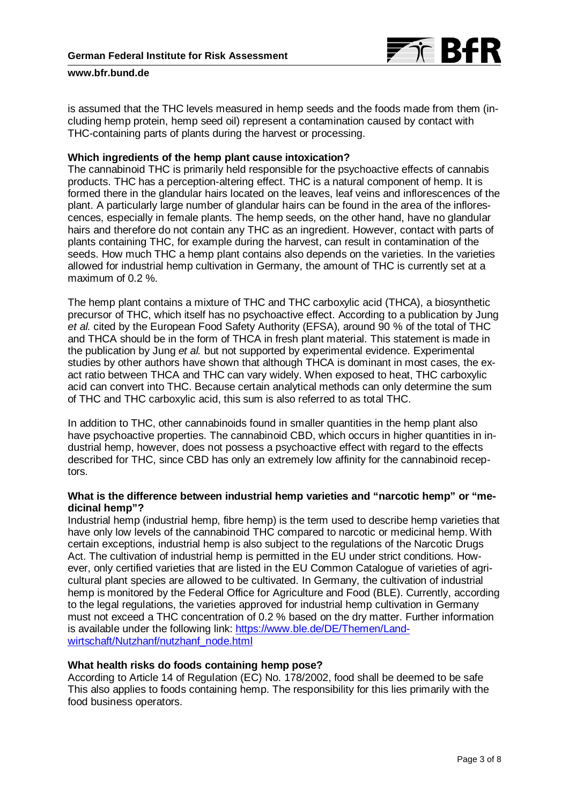

is assumed that the THC levels measured in hemp seeds and the foods made from them (including hemp protein, hemp seed oil) represent a contamination caused by contact with THC-containing parts of plants during the harvest or processing.

### **Which ingredients of the hemp plant cause intoxication?**

The cannabinoid THC is primarily held responsible for the psychoactive effects of cannabis products. THC has a perception-altering effect. THC is a natural component of hemp. It is formed there in the glandular hairs located on the leaves, leaf veins and inflorescences of the plant. A particularly large number of glandular hairs can be found in the area of the inflorescences, especially in female plants. The hemp seeds, on the other hand, have no glandular hairs and therefore do not contain any THC as an ingredient. However, contact with parts of plants containing THC, for example during the harvest, can result in contamination of the seeds. How much THC a hemp plant contains also depends on the varieties. In the varieties allowed for industrial hemp cultivation in Germany, the amount of THC is currently set at a maximum of 0.2 %.

The hemp plant contains a mixture of THC and THC carboxylic acid (THCA), a biosynthetic precursor of THC, which itself has no psychoactive effect. According to a publication by Jung *et al.* cited by the European Food Safety Authority (EFSA), around 90 % of the total of THC and THCA should be in the form of THCA in fresh plant material. This statement is made in the publication by Jung *et al.* but not supported by experimental evidence. Experimental studies by other authors have shown that although THCA is dominant in most cases, the exact ratio between THCA and THC can vary widely. When exposed to heat, THC carboxylic acid can convert into THC. Because certain analytical methods can only determine the sum of THC and THC carboxylic acid, this sum is also referred to as total THC.

In addition to THC, other cannabinoids found in smaller quantities in the hemp plant also have psychoactive properties. The cannabinoid CBD, which occurs in higher quantities in industrial hemp, however, does not possess a psychoactive effect with regard to the effects described for THC, since CBD has only an extremely low affinity for the cannabinoid receptors.

## **What is the difference between industrial hemp varieties and "narcotic hemp" or "medicinal hemp"?**

Industrial hemp (industrial hemp, fibre hemp) is the term used to describe hemp varieties that have only low levels of the cannabinoid THC compared to narcotic or medicinal hemp. With certain exceptions, industrial hemp is also subject to the regulations of the Narcotic Drugs Act. The cultivation of industrial hemp is permitted in the EU under strict conditions. However, only certified varieties that are listed in the EU Common Catalogue of varieties of agricultural plant species are allowed to be cultivated. In Germany, the cultivation of industrial hemp is monitored by the Federal Office for Agriculture and Food (BLE). Currently, according to the legal regulations, the varieties approved for industrial hemp cultivation in Germany must not exceed a THC concentration of 0.2 % based on the dry matter. Further information is available under the following link: [https://www.ble.de/DE/Themen/Land](https://www.ble.de/DE/Themen/Landwirtschaft/Nutzhanf/nutzhanf_node.html)[wirtschaft/Nutzhanf/nutzhanf\\_node.html](https://www.ble.de/DE/Themen/Landwirtschaft/Nutzhanf/nutzhanf_node.html)

## **What health risks do foods containing hemp pose?**

According to Article 14 of Regulation (EC) No. 178/2002, food shall be deemed to be safe This also applies to foods containing hemp. The responsibility for this lies primarily with the food business operators.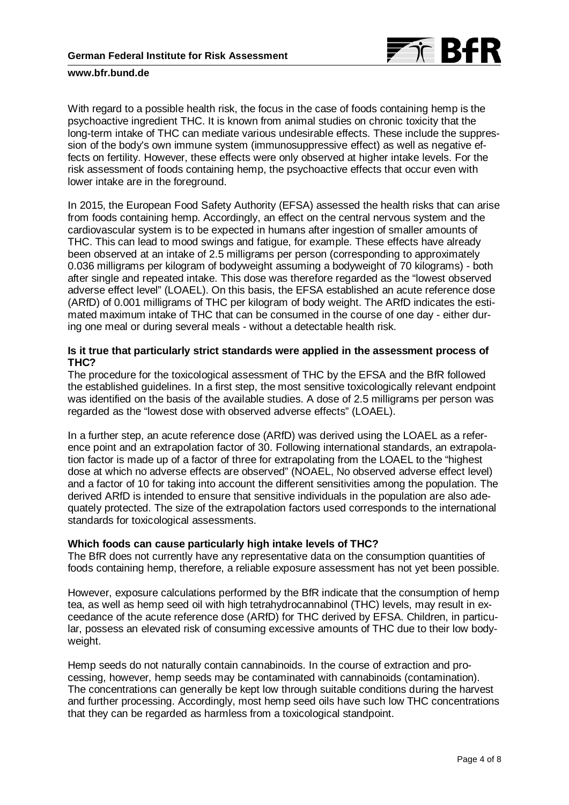

With regard to a possible health risk, the focus in the case of foods containing hemp is the psychoactive ingredient THC. It is known from animal studies on chronic toxicity that the long-term intake of THC can mediate various undesirable effects. These include the suppression of the body's own immune system (immunosuppressive effect) as well as negative effects on fertility. However, these effects were only observed at higher intake levels. For the risk assessment of foods containing hemp, the psychoactive effects that occur even with lower intake are in the foreground.

In 2015, the European Food Safety Authority (EFSA) assessed the health risks that can arise from foods containing hemp. Accordingly, an effect on the central nervous system and the cardiovascular system is to be expected in humans after ingestion of smaller amounts of THC. This can lead to mood swings and fatigue, for example. These effects have already been observed at an intake of 2.5 milligrams per person (corresponding to approximately 0.036 milligrams per kilogram of bodyweight assuming a bodyweight of 70 kilograms) - both after single and repeated intake. This dose was therefore regarded as the "lowest observed adverse effect level" (LOAEL). On this basis, the EFSA established an acute reference dose (ARfD) of 0.001 milligrams of THC per kilogram of body weight. The ARfD indicates the estimated maximum intake of THC that can be consumed in the course of one day - either during one meal or during several meals - without a detectable health risk.

## **Is it true that particularly strict standards were applied in the assessment process of THC?**

The procedure for the toxicological assessment of THC by the EFSA and the BfR followed the established guidelines. In a first step, the most sensitive toxicologically relevant endpoint was identified on the basis of the available studies. A dose of 2.5 milligrams per person was regarded as the "lowest dose with observed adverse effects" (LOAEL).

In a further step, an acute reference dose (ARfD) was derived using the LOAEL as a reference point and an extrapolation factor of 30. Following international standards, an extrapolation factor is made up of a factor of three for extrapolating from the LOAEL to the "highest dose at which no adverse effects are observed" (NOAEL, No observed adverse effect level) and a factor of 10 for taking into account the different sensitivities among the population. The derived ARfD is intended to ensure that sensitive individuals in the population are also adequately protected. The size of the extrapolation factors used corresponds to the international standards for toxicological assessments.

## **Which foods can cause particularly high intake levels of THC?**

The BfR does not currently have any representative data on the consumption quantities of foods containing hemp, therefore, a reliable exposure assessment has not yet been possible.

However, exposure calculations performed by the BfR indicate that the consumption of hemp tea, as well as hemp seed oil with high tetrahydrocannabinol (THC) levels, may result in exceedance of the acute reference dose (ARfD) for THC derived by EFSA. Children, in particular, possess an elevated risk of consuming excessive amounts of THC due to their low bodyweight.

Hemp seeds do not naturally contain cannabinoids. In the course of extraction and processing, however, hemp seeds may be contaminated with cannabinoids (contamination). The concentrations can generally be kept low through suitable conditions during the harvest and further processing. Accordingly, most hemp seed oils have such low THC concentrations that they can be regarded as harmless from a toxicological standpoint.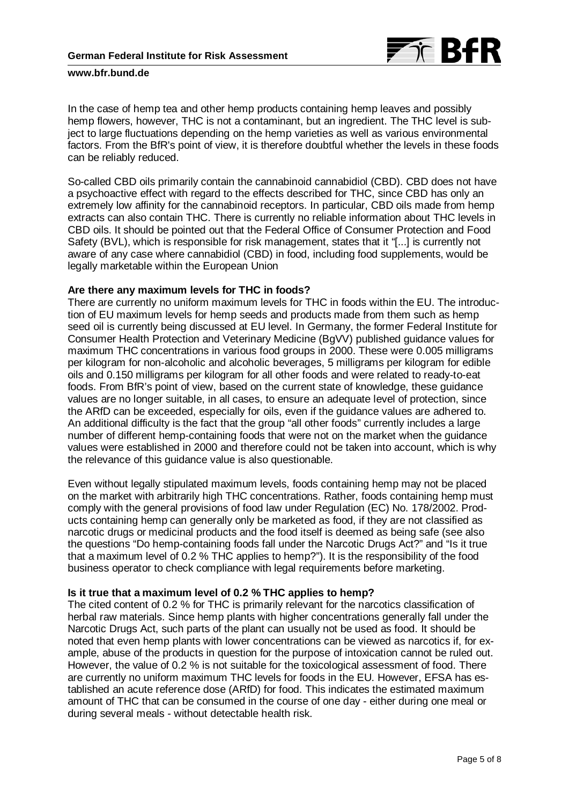

In the case of hemp tea and other hemp products containing hemp leaves and possibly hemp flowers, however, THC is not a contaminant, but an ingredient. The THC level is subject to large fluctuations depending on the hemp varieties as well as various environmental factors. From the BfR's point of view, it is therefore doubtful whether the levels in these foods can be reliably reduced.

So-called CBD oils primarily contain the cannabinoid cannabidiol (CBD). CBD does not have a psychoactive effect with regard to the effects described for THC, since CBD has only an extremely low affinity for the cannabinoid receptors. In particular, CBD oils made from hemp extracts can also contain THC. There is currently no reliable information about THC levels in CBD oils. It should be pointed out that the Federal Office of Consumer Protection and Food Safety (BVL), which is responsible for risk management, states that it "[...] is currently not aware of any case where cannabidiol (CBD) in food, including food supplements, would be legally marketable within the European Union

### **Are there any maximum levels for THC in foods?**

There are currently no uniform maximum levels for THC in foods within the EU. The introduction of EU maximum levels for hemp seeds and products made from them such as hemp seed oil is currently being discussed at EU level. In Germany, the former Federal Institute for Consumer Health Protection and Veterinary Medicine (BgVV) published guidance values for maximum THC concentrations in various food groups in 2000. These were 0.005 milligrams per kilogram for non-alcoholic and alcoholic beverages, 5 milligrams per kilogram for edible oils and 0.150 milligrams per kilogram for all other foods and were related to ready-to-eat foods. From BfR's point of view, based on the current state of knowledge, these guidance values are no longer suitable, in all cases, to ensure an adequate level of protection, since the ARfD can be exceeded, especially for oils, even if the guidance values are adhered to. An additional difficulty is the fact that the group "all other foods" currently includes a large number of different hemp-containing foods that were not on the market when the guidance values were established in 2000 and therefore could not be taken into account, which is why the relevance of this guidance value is also questionable.

Even without legally stipulated maximum levels, foods containing hemp may not be placed on the market with arbitrarily high THC concentrations. Rather, foods containing hemp must comply with the general provisions of food law under Regulation (EC) No. 178/2002. Products containing hemp can generally only be marketed as food, if they are not classified as narcotic drugs or medicinal products and the food itself is deemed as being safe (see also the questions "Do hemp-containing foods fall under the Narcotic Drugs Act?" and "Is it true that a maximum level of 0.2 % THC applies to hemp?"). It is the responsibility of the food business operator to check compliance with legal requirements before marketing.

## **Is it true that a maximum level of 0.2 % THC applies to hemp?**

The cited content of 0.2 % for THC is primarily relevant for the narcotics classification of herbal raw materials. Since hemp plants with higher concentrations generally fall under the Narcotic Drugs Act, such parts of the plant can usually not be used as food. It should be noted that even hemp plants with lower concentrations can be viewed as narcotics if, for example, abuse of the products in question for the purpose of intoxication cannot be ruled out. However, the value of 0.2 % is not suitable for the toxicological assessment of food. There are currently no uniform maximum THC levels for foods in the EU. However, EFSA has established an acute reference dose (ARfD) for food. This indicates the estimated maximum amount of THC that can be consumed in the course of one day - either during one meal or during several meals - without detectable health risk.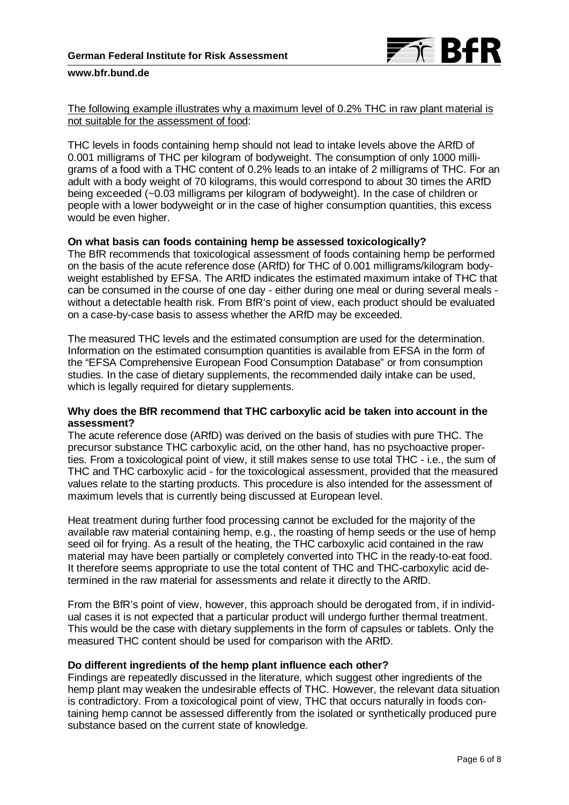

The following example illustrates why a maximum level of 0.2% THC in raw plant material is not suitable for the assessment of food:

THC levels in foods containing hemp should not lead to intake levels above the ARfD of 0.001 milligrams of THC per kilogram of bodyweight. The consumption of only 1000 milligrams of a food with a THC content of 0.2% leads to an intake of 2 milligrams of THC. For an adult with a body weight of 70 kilograms, this would correspond to about 30 times the ARfD being exceeded (~0.03 milligrams per kilogram of bodyweight). In the case of children or people with a lower bodyweight or in the case of higher consumption quantities, this excess would be even higher.

## **On what basis can foods containing hemp be assessed toxicologically?**

The BfR recommends that toxicological assessment of foods containing hemp be performed on the basis of the acute reference dose (ARfD) for THC of 0.001 milligrams/kilogram bodyweight established by EFSA. The ARfD indicates the estimated maximum intake of THC that can be consumed in the course of one day - either during one meal or during several meals without a detectable health risk. From BfR's point of view, each product should be evaluated on a case-by-case basis to assess whether the ARfD may be exceeded.

The measured THC levels and the estimated consumption are used for the determination. Information on the estimated consumption quantities is available from EFSA in the form of the "EFSA Comprehensive European Food Consumption Database" or from consumption studies. In the case of dietary supplements, the recommended daily intake can be used, which is legally required for dietary supplements.

### **Why does the BfR recommend that THC carboxylic acid be taken into account in the assessment?**

The acute reference dose (ARfD) was derived on the basis of studies with pure THC. The precursor substance THC carboxylic acid, on the other hand, has no psychoactive properties. From a toxicological point of view, it still makes sense to use total THC - i.e., the sum of THC and THC carboxylic acid - for the toxicological assessment, provided that the measured values relate to the starting products. This procedure is also intended for the assessment of maximum levels that is currently being discussed at European level.

Heat treatment during further food processing cannot be excluded for the majority of the available raw material containing hemp, e.g., the roasting of hemp seeds or the use of hemp seed oil for frying. As a result of the heating, the THC carboxylic acid contained in the raw material may have been partially or completely converted into THC in the ready-to-eat food. It therefore seems appropriate to use the total content of THC and THC-carboxylic acid determined in the raw material for assessments and relate it directly to the ARfD.

From the BfR's point of view, however, this approach should be derogated from, if in individual cases it is not expected that a particular product will undergo further thermal treatment. This would be the case with dietary supplements in the form of capsules or tablets. Only the measured THC content should be used for comparison with the ARfD.

## **Do different ingredients of the hemp plant influence each other?**

Findings are repeatedly discussed in the literature, which suggest other ingredients of the hemp plant may weaken the undesirable effects of THC. However, the relevant data situation is contradictory. From a toxicological point of view, THC that occurs naturally in foods containing hemp cannot be assessed differently from the isolated or synthetically produced pure substance based on the current state of knowledge.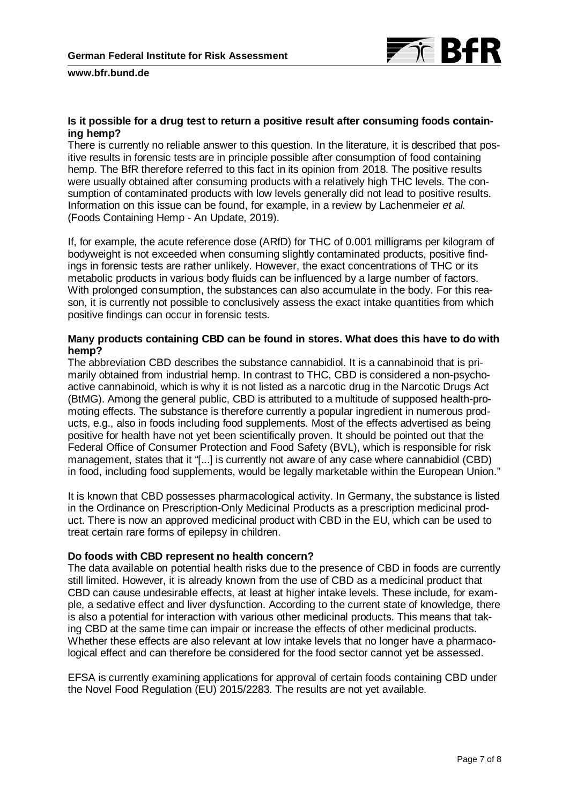

# **Is it possible for a drug test to return a positive result after consuming foods containing hemp?**

There is currently no reliable answer to this question. In the literature, it is described that positive results in forensic tests are in principle possible after consumption of food containing hemp. The BfR therefore referred to this fact in its opinion from 2018. The positive results were usually obtained after consuming products with a relatively high THC levels. The consumption of contaminated products with low levels generally did not lead to positive results. Information on this issue can be found, for example, in a review by Lachenmeier *et al.* (Foods Containing Hemp - An Update, 2019).

If, for example, the acute reference dose (ARfD) for THC of 0.001 milligrams per kilogram of bodyweight is not exceeded when consuming slightly contaminated products, positive findings in forensic tests are rather unlikely. However, the exact concentrations of THC or its metabolic products in various body fluids can be influenced by a large number of factors. With prolonged consumption, the substances can also accumulate in the body. For this reason, it is currently not possible to conclusively assess the exact intake quantities from which positive findings can occur in forensic tests.

## **Many products containing CBD can be found in stores. What does this have to do with hemp?**

The abbreviation CBD describes the substance cannabidiol. It is a cannabinoid that is primarily obtained from industrial hemp. In contrast to THC, CBD is considered a non-psychoactive cannabinoid, which is why it is not listed as a narcotic drug in the Narcotic Drugs Act (BtMG). Among the general public, CBD is attributed to a multitude of supposed health-promoting effects. The substance is therefore currently a popular ingredient in numerous products, e.g., also in foods including food supplements. Most of the effects advertised as being positive for health have not yet been scientifically proven. It should be pointed out that the Federal Office of Consumer Protection and Food Safety (BVL), which is responsible for risk management, states that it "[...] is currently not aware of any case where cannabidiol (CBD) in food, including food supplements, would be legally marketable within the European Union."

It is known that CBD possesses pharmacological activity. In Germany, the substance is listed in the Ordinance on Prescription-Only Medicinal Products as a prescription medicinal product. There is now an approved medicinal product with CBD in the EU, which can be used to treat certain rare forms of epilepsy in children.

## **Do foods with CBD represent no health concern?**

The data available on potential health risks due to the presence of CBD in foods are currently still limited. However, it is already known from the use of CBD as a medicinal product that CBD can cause undesirable effects, at least at higher intake levels. These include, for example, a sedative effect and liver dysfunction. According to the current state of knowledge, there is also a potential for interaction with various other medicinal products. This means that taking CBD at the same time can impair or increase the effects of other medicinal products. Whether these effects are also relevant at low intake levels that no longer have a pharmacological effect and can therefore be considered for the food sector cannot yet be assessed.

EFSA is currently examining applications for approval of certain foods containing CBD under the Novel Food Regulation (EU) 2015/2283. The results are not yet available.